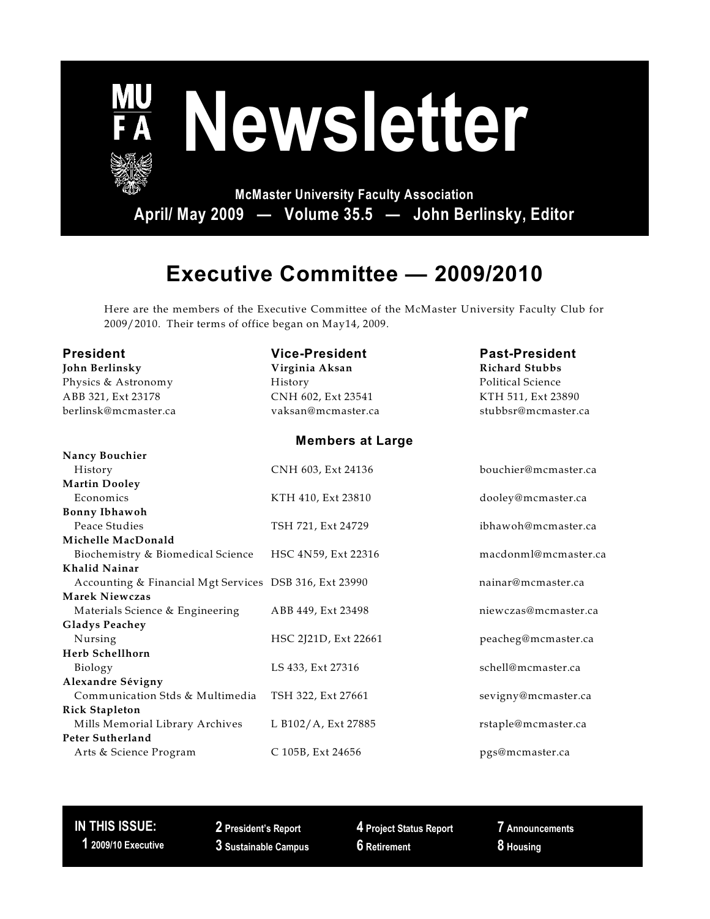

# **Executive Committee — 2009/2010**

Here are the members of the Executive Committee of the McMaster University Faculty Club for 2009/2010. Their terms of office began on May14, 2009.

| <b>President</b>     | <b>Vice-President</b> | <b>Past-President</b> |  |  |
|----------------------|-----------------------|-----------------------|--|--|
| John Berlinsky       | Virginia Aksan        | <b>Richard Stubbs</b> |  |  |
| Physics & Astronomy  | History               | Political Science     |  |  |
| ABB 321, Ext 23178   | CNH 602, Ext 23541    | KTH 511, Ext 23890    |  |  |
| berlinsk@mcmaster.ca | vaksan@mcmaster.ca    | stubbsr@mcmaster.o    |  |  |
|                      |                       |                       |  |  |

#### **Members at Large**

| <b>Nancy Bouchier</b>                                  |                      |                      |
|--------------------------------------------------------|----------------------|----------------------|
| History                                                | CNH 603, Ext 24136   | bouchier@mcmaster.ca |
| <b>Martin Dooley</b>                                   |                      |                      |
| Economics                                              | KTH 410, Ext 23810   | dooley@mcmaster.ca   |
| <b>Bonny Ibhawoh</b>                                   |                      |                      |
| Peace Studies                                          | TSH 721, Ext 24729   | ibhawoh@mcmaster.ca  |
| Michelle MacDonald                                     |                      |                      |
| Biochemistry & Biomedical Science                      | HSC 4N59, Ext 22316  | macdonml@mcmaster.ca |
| Khalid Nainar                                          |                      |                      |
| Accounting & Financial Mgt Services DSB 316, Ext 23990 |                      | nainar@mcmaster.ca   |
| Marek Niewczas                                         |                      |                      |
| Materials Science & Engineering                        | ABB 449, Ext 23498   | niewczas@mcmaster.ca |
| <b>Gladys Peachey</b>                                  |                      |                      |
| Nursing                                                | HSC 2J21D, Ext 22661 | peacheg@mcmaster.ca  |
| Herb Schellhorn                                        |                      |                      |
| Biology                                                | LS 433, Ext 27316    | schell@mcmaster.ca   |
| Alexandre Sévigny                                      |                      |                      |
| Communication Stds & Multimedia                        | TSH 322, Ext 27661   | sevigny@mcmaster.ca  |
| <b>Rick Stapleton</b>                                  |                      |                      |
| Mills Memorial Library Archives                        | L B102/A, Ext 27885  | rstaple@mcmaster.ca  |
| Peter Sutherland                                       |                      |                      |
| Arts & Science Program                                 | C 105B, Ext 24656    | pgs@mcmaster.ca      |
|                                                        |                      |                      |

#### **IN THIS ISSUE: 1 2009/10 Executive**

**2 President's Report 3 Sustainable Campus** **4 Project Status Report 6 Retirement**

**7 Announcements 8 Housing**

stubbsr@mcmaster.ca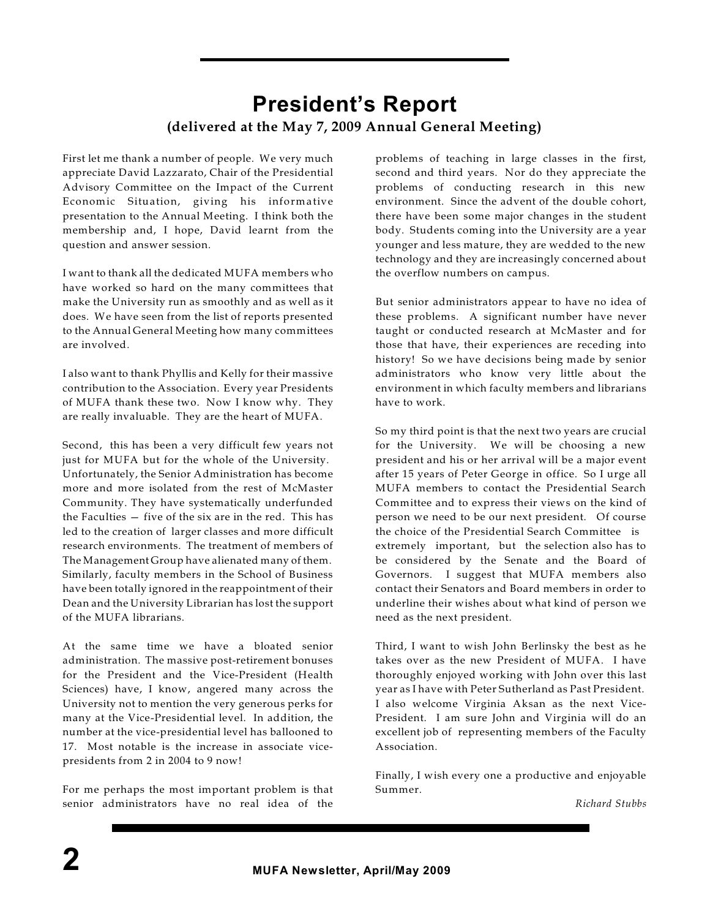### **President's Report (delivered at the May 7, 2009 Annual General Meeting)**

First let me thank a number of people. We very much appreciate David Lazzarato, Chair of the Presidential Advisory Committee on the Impact of the Current Economic Situation, giving his informative presentation to the Annual Meeting. I think both the membership and, I hope, David learnt from the question and answer session.

I want to thank all the dedicated MUFA members who have worked so hard on the many committees that make the University run as smoothly and as well as it does. We have seen from the list of reports presented to the Annual General Meeting how many committees are involved.

I also want to thank Phyllis and Kelly for their massive contribution to the Association. Every year Presidents of MUFA thank these two. Now I know why. They are really invaluable. They are the heart of MUFA.

Second, this has been a very difficult few years not just for MUFA but for the whole of the University. Unfortunately, the Senior Administration has become more and more isolated from the rest of McMaster Community. They have systematically underfunded the Faculties — five of the six are in the red. This has led to the creation of larger classes and more difficult research environments. The treatment of members of The Management Group have alienated many of them. Similarly, faculty members in the School of Business have been totally ignored in the reappointment of their Dean and the University Librarian has lost the support of the MUFA librarians.

At the same time we have a bloated senior administration. The massive post-retirement bonuses for the President and the Vice-President (Health Sciences) have, I know, angered many across the University not to mention the very generous perks for many at the Vice-Presidential level. In addition, the number at the vice-presidential level has ballooned to 17. Most notable is the increase in associate vicepresidents from 2 in 2004 to 9 now!

For me perhaps the most important problem is that senior administrators have no real idea of the problems of teaching in large classes in the first, second and third years. Nor do they appreciate the problems of conducting research in this new environment. Since the advent of the double cohort, there have been some major changes in the student body. Students coming into the University are a year younger and less mature, they are wedded to the new technology and they are increasingly concerned about the overflow numbers on campus.

But senior administrators appear to have no idea of these problems. A significant number have never taught or conducted research at McMaster and for those that have, their experiences are receding into history! So we have decisions being made by senior administrators who know very little about the environment in which faculty members and librarians have to work.

So my third point is that the next two years are crucial for the University. We will be choosing a new president and his or her arrival will be a major event after 15 years of Peter George in office. So I urge all MUFA members to contact the Presidential Search Committee and to express their views on the kind of person we need to be our next president. Of course the choice of the Presidential Search Committee is extremely important, but the selection also has to be considered by the Senate and the Board of Governors. I suggest that MUFA members also contact their Senators and Board members in order to underline their wishes about what kind of person we need as the next president.

Third, I want to wish John Berlinsky the best as he takes over as the new President of MUFA. I have thoroughly enjoyed working with John over this last year as I have with Peter Sutherland as Past President. I also welcome Virginia Aksan as the next Vice-President. I am sure John and Virginia will do an excellent job of representing members of the Faculty Association.

Finally, I wish every one a productive and enjoyable Summer.

*Richard Stubbs*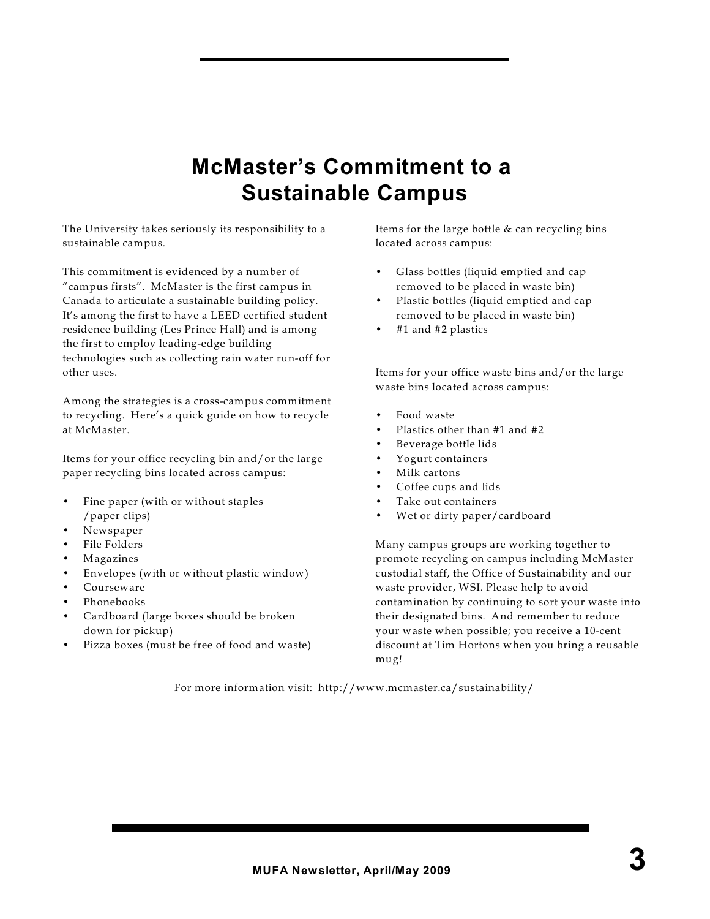# **McMaster's Commitment to a Sustainable Campus**

The University takes seriously its responsibility to a sustainable campus.

This commitment is evidenced by a number of "campus firsts". McMaster is the first campus in Canada to articulate a sustainable building policy. It's among the first to have a LEED certified student residence building (Les Prince Hall) and is among the first to employ leading-edge building technologies such as collecting rain water run-off for other uses.

Among the strategies is a cross-campus commitment to recycling. Here's a quick guide on how to recycle at McMaster.

Items for your office recycling bin and/or the large paper recycling bins located across campus:

- Fine paper (with or without staples /paper clips)
- Newspaper
- File Folders
- **Magazines**
- Envelopes (with or without plastic window)
- Courseware
- Phonebooks
- Cardboard (large boxes should be broken down for pickup)
- Pizza boxes (must be free of food and waste)

Items for the large bottle & can recycling bins located across campus:

- Glass bottles (liquid emptied and cap removed to be placed in waste bin)
- Plastic bottles (liquid emptied and cap removed to be placed in waste bin)
- #1 and #2 plastics

Items for your office waste bins and/or the large waste bins located across campus:

- Food waste
- Plastics other than #1 and #2
- Beverage bottle lids
- Yogurt containers
- Milk cartons
- Coffee cups and lids
- Take out containers
- Wet or dirty paper/cardboard

Many campus groups are working together to promote recycling on campus including McMaster custodial staff, the Office of Sustainability and our waste provider, WSI. Please help to avoid contamination by continuing to sort your waste into their designated bins. And remember to reduce your waste when possible; you receive a 10-cent discount at Tim Hortons when you bring a reusable mug!

For more information visit: http://www.mcmaster.ca/sustainability/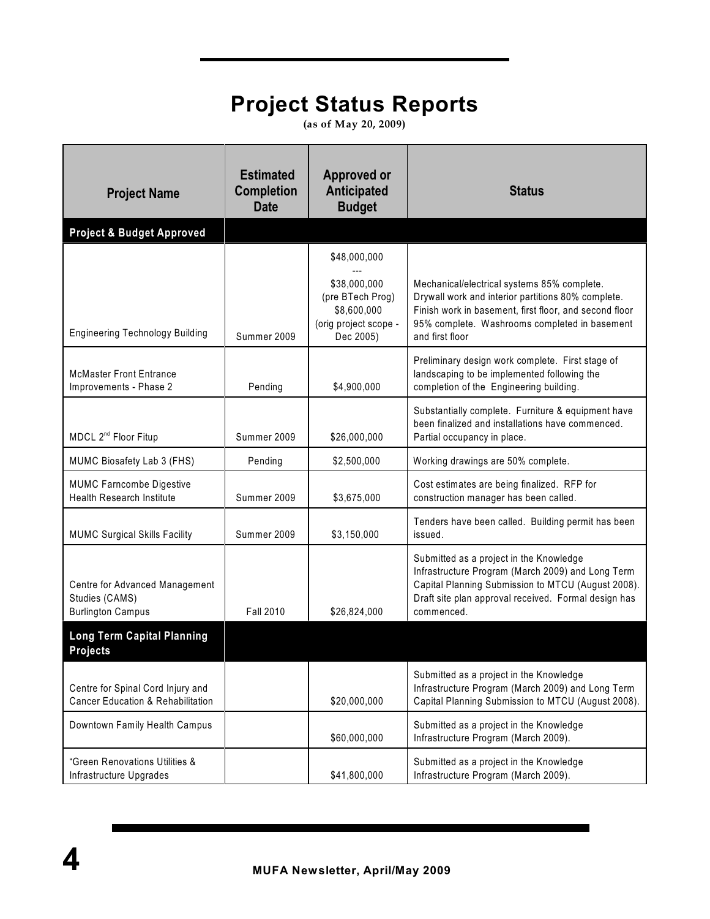# **Project Status Reports**

**(as of May 20, 2009)**

| <b>Project Name</b>                                                               | <b>Estimated</b><br><b>Completion</b><br><b>Date</b> | <b>Approved or</b><br><b>Anticipated</b><br><b>Budget</b>                             | <b>Status</b>                                                                                                                                                                                                                   |
|-----------------------------------------------------------------------------------|------------------------------------------------------|---------------------------------------------------------------------------------------|---------------------------------------------------------------------------------------------------------------------------------------------------------------------------------------------------------------------------------|
| <b>Project &amp; Budget Approved</b>                                              |                                                      |                                                                                       |                                                                                                                                                                                                                                 |
|                                                                                   |                                                      | \$48,000,000                                                                          |                                                                                                                                                                                                                                 |
| <b>Engineering Technology Building</b>                                            | Summer 2009                                          | \$38,000,000<br>(pre BTech Prog)<br>\$8,600,000<br>(orig project scope -<br>Dec 2005) | Mechanical/electrical systems 85% complete.<br>Drywall work and interior partitions 80% complete.<br>Finish work in basement, first floor, and second floor<br>95% complete. Washrooms completed in basement<br>and first floor |
| <b>McMaster Front Entrance</b><br>Improvements - Phase 2                          | Pending                                              | \$4,900,000                                                                           | Preliminary design work complete. First stage of<br>landscaping to be implemented following the<br>completion of the Engineering building.                                                                                      |
| MDCL 2 <sup>nd</sup> Floor Fitup                                                  | Summer 2009                                          | \$26,000,000                                                                          | Substantially complete. Furniture & equipment have<br>been finalized and installations have commenced.<br>Partial occupancy in place.                                                                                           |
| MUMC Biosafety Lab 3 (FHS)                                                        | Pending                                              | \$2,500,000                                                                           | Working drawings are 50% complete.                                                                                                                                                                                              |
| <b>MUMC Farncombe Digestive</b><br><b>Health Research Institute</b>               | Summer 2009                                          | \$3,675,000                                                                           | Cost estimates are being finalized. RFP for<br>construction manager has been called.                                                                                                                                            |
| <b>MUMC Surgical Skills Facility</b>                                              | Summer 2009                                          | \$3,150,000                                                                           | Tenders have been called. Building permit has been<br>issued.                                                                                                                                                                   |
| Centre for Advanced Management<br>Studies (CAMS)<br><b>Burlington Campus</b>      | <b>Fall 2010</b>                                     | \$26,824,000                                                                          | Submitted as a project in the Knowledge<br>Infrastructure Program (March 2009) and Long Term<br>Capital Planning Submission to MTCU (August 2008).<br>Draft site plan approval received. Formal design has<br>commenced.        |
| <b>Long Term Capital Planning</b><br><b>Projects</b>                              |                                                      |                                                                                       |                                                                                                                                                                                                                                 |
| Centre for Spinal Cord Injury and<br><b>Cancer Education &amp; Rehabilitation</b> |                                                      | \$20,000,000                                                                          | Submitted as a project in the Knowledge<br>Infrastructure Program (March 2009) and Long Term<br>Capital Planning Submission to MTCU (August 2008).                                                                              |
| Downtown Family Health Campus                                                     |                                                      | \$60,000,000                                                                          | Submitted as a project in the Knowledge<br>Infrastructure Program (March 2009).                                                                                                                                                 |
| "Green Renovations Utilities &<br>Infrastructure Upgrades                         |                                                      | \$41,800,000                                                                          | Submitted as a project in the Knowledge<br>Infrastructure Program (March 2009).                                                                                                                                                 |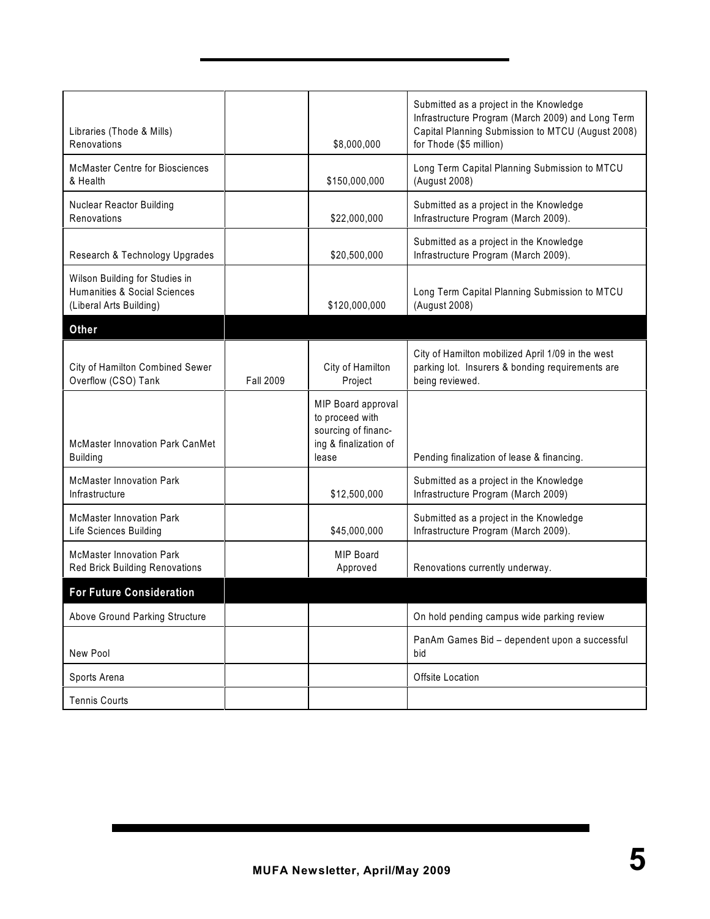| Libraries (Thode & Mills)<br>Renovations                                                  |                  | \$8,000,000                                                                                    | Submitted as a project in the Knowledge<br>Infrastructure Program (March 2009) and Long Term<br>Capital Planning Submission to MTCU (August 2008)<br>for Thode (\$5 million) |
|-------------------------------------------------------------------------------------------|------------------|------------------------------------------------------------------------------------------------|------------------------------------------------------------------------------------------------------------------------------------------------------------------------------|
| <b>McMaster Centre for Biosciences</b><br>& Health                                        |                  | \$150,000,000                                                                                  | Long Term Capital Planning Submission to MTCU<br>(August 2008)                                                                                                               |
| <b>Nuclear Reactor Building</b><br>Renovations                                            |                  | \$22,000,000                                                                                   | Submitted as a project in the Knowledge<br>Infrastructure Program (March 2009).                                                                                              |
| Research & Technology Upgrades                                                            |                  | \$20,500,000                                                                                   | Submitted as a project in the Knowledge<br>Infrastructure Program (March 2009).                                                                                              |
| Wilson Building for Studies in<br>Humanities & Social Sciences<br>(Liberal Arts Building) |                  | \$120,000,000                                                                                  | Long Term Capital Planning Submission to MTCU<br>(August 2008)                                                                                                               |
| <b>Other</b>                                                                              |                  |                                                                                                |                                                                                                                                                                              |
| City of Hamilton Combined Sewer<br>Overflow (CSO) Tank                                    | <b>Fall 2009</b> | City of Hamilton<br>Project                                                                    | City of Hamilton mobilized April 1/09 in the west<br>parking lot. Insurers & bonding requirements are<br>being reviewed.                                                     |
| <b>McMaster Innovation Park CanMet</b><br><b>Building</b>                                 |                  | MIP Board approval<br>to proceed with<br>sourcing of financ-<br>ing & finalization of<br>lease | Pending finalization of lease & financing.                                                                                                                                   |
| <b>McMaster Innovation Park</b><br>Infrastructure                                         |                  | \$12,500,000                                                                                   | Submitted as a project in the Knowledge<br>Infrastructure Program (March 2009)                                                                                               |
| <b>McMaster Innovation Park</b><br>Life Sciences Building                                 |                  | \$45,000,000                                                                                   | Submitted as a project in the Knowledge<br>Infrastructure Program (March 2009).                                                                                              |
| <b>McMaster Innovation Park</b><br><b>Red Brick Building Renovations</b>                  |                  | MIP Board<br>Approved                                                                          | Renovations currently underway.                                                                                                                                              |
| <b>For Future Consideration</b>                                                           |                  |                                                                                                |                                                                                                                                                                              |
| <b>Above Ground Parking Structure</b>                                                     |                  |                                                                                                | On hold pending campus wide parking review                                                                                                                                   |
| New Pool                                                                                  |                  |                                                                                                | PanAm Games Bid - dependent upon a successful<br>bid                                                                                                                         |
| Sports Arena                                                                              |                  |                                                                                                | Offsite Location                                                                                                                                                             |
| <b>Tennis Courts</b>                                                                      |                  |                                                                                                |                                                                                                                                                                              |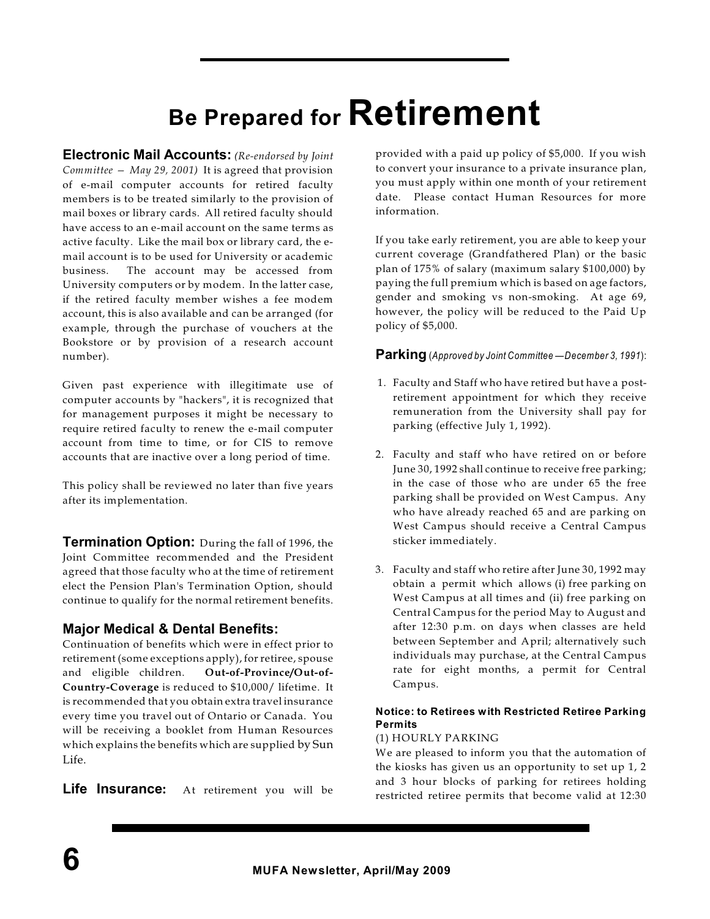# **Be Prepared for Retirement**

**Electronic Mail Accounts:** *(Re-endorsed by Joint Committee — May 29, 2001)* It is agreed that provision of e-mail computer accounts for retired faculty members is to be treated similarly to the provision of mail boxes or library cards. All retired faculty should have access to an e-mail account on the same terms as active faculty. Like the mail box or library card, the email account is to be used for University or academic business. The account may be accessed from University computers or by modem. In the latter case, if the retired faculty member wishes a fee modem account, this is also available and can be arranged (for example, through the purchase of vouchers at the Bookstore or by provision of a research account number).

Given past experience with illegitimate use of computer accounts by "hackers", it is recognized that for management purposes it might be necessary to require retired faculty to renew the e-mail computer account from time to time, or for CIS to remove accounts that are inactive over a long period of time.

This policy shall be reviewed no later than five years after its implementation.

**Termination Option:** During the fall of 1996, the Joint Committee recommended and the President agreed that those faculty who at the time of retirement elect the Pension Plan's Termination Option, should continue to qualify for the normal retirement benefits.

#### **Major Medical & Dental Benefits:**

Continuation of benefits which were in effect prior to retirement (some exceptions apply), for retiree, spouse and eligible children. **Out-of-Province/Out-of-Country-Coverage** is reduced to \$10,000/ lifetime. It is recommended that you obtain extra travel insurance every time you travel out of Ontario or Canada. You will be receiving a booklet from Human Resources which explains the benefits which are supplied by Sun Life.

**Life Insurance:** At retirement you will be

provided with a paid up policy of \$5,000. If you wish to convert your insurance to a private insurance plan, you must apply within one month of your retirement date. Please contact Human Resources for more information.

If you take early retirement, you are able to keep your current coverage (Grandfathered Plan) or the basic plan of 175% of salary (maximum salary \$100,000) by paying the full premium which is based on age factors, gender and smoking vs non-smoking. At age 69, however, the policy will be reduced to the Paid Up policy of \$5,000.

**Parking** (*Approved by Joint Committee —December 3, 1991*):

- 1. Faculty and Staff who have retired but have a postretirement appointment for which they receive remuneration from the University shall pay for parking (effective July 1, 1992).
- 2. Faculty and staff who have retired on or before June 30, 1992 shall continue to receive free parking; in the case of those who are under 65 the free parking shall be provided on West Campus. Any who have already reached 65 and are parking on West Campus should receive a Central Campus sticker immediately.
- 3. Faculty and staff who retire after June 30, 1992 may obtain a permit which allows (i) free parking on West Campus at all times and (ii) free parking on Central Campus for the period May to August and after 12:30 p.m. on days when classes are held between September and April; alternatively such individuals may purchase, at the Central Campus rate for eight months, a permit for Central Campus.

#### **Notice: to Retirees with Restricted Retiree Parking Permits**

#### (1) HOURLY PARKING

We are pleased to inform you that the automation of the kiosks has given us an opportunity to set up 1, 2 and 3 hour blocks of parking for retirees holding restricted retiree permits that become valid at 12:30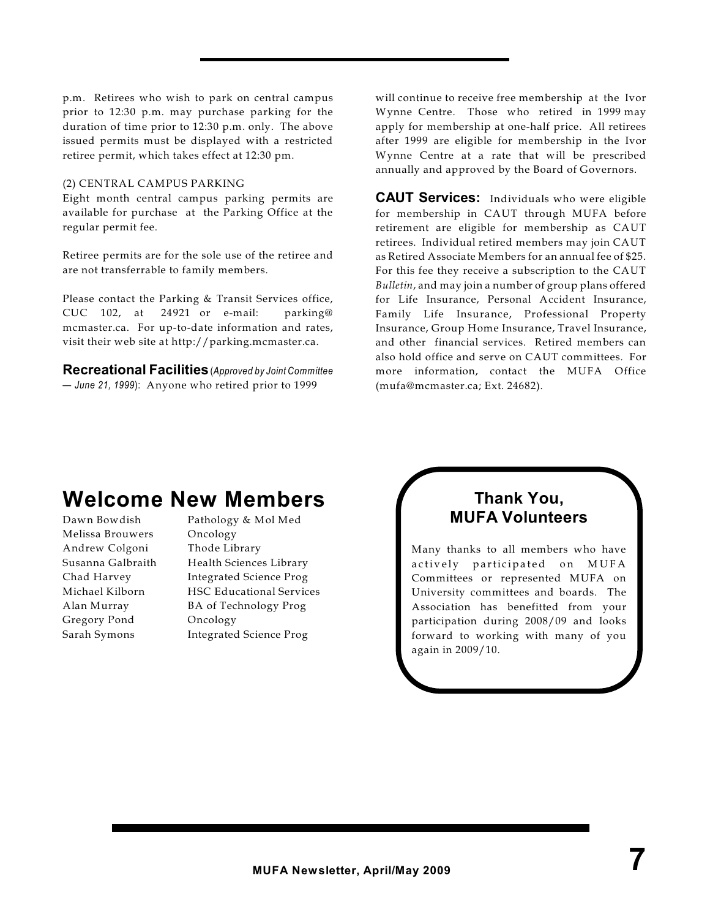p.m. Retirees who wish to park on central campus prior to 12:30 p.m. may purchase parking for the duration of time prior to 12:30 p.m. only. The above issued permits must be displayed with a restricted retiree permit, which takes effect at 12:30 pm.

#### (2) CENTRAL CAMPUS PARKING

Eight month central campus parking permits are available for purchase at the Parking Office at the regular permit fee.

Retiree permits are for the sole use of the retiree and are not transferrable to family members.

Please contact the Parking & Transit Services office, CUC 102, at 24921 or e-mail: parking@ mcmaster.ca. For up-to-date information and rates, visit their web site at http://parking.mcmaster.ca.

**Recreational Facilities**(*Approved by Joint Committee — June 21, 1999*): Anyone who retired prior to 1999

will continue to receive free membership at the Ivor Wynne Centre. Those who retired in 1999 may apply for membership at one-half price. All retirees after 1999 are eligible for membership in the Ivor Wynne Centre at a rate that will be prescribed annually and approved by the Board of Governors.

**CAUT Services:** Individuals who were eligible for membership in CAUT through MUFA before retirement are eligible for membership as CAUT retirees. Individual retired members may join CAUT as Retired Associate Members for an annual fee of \$25. For this fee they receive a subscription to the CAUT *Bulletin*, and may join a number of group plans offered for Life Insurance, Personal Accident Insurance, Family Life Insurance, Professional Property Insurance, Group Home Insurance, Travel Insurance, and other financial services. Retired members can also hold office and serve on CAUT committees. For more information, contact the MUFA Office (mufa@mcmaster.ca; Ext. 24682).

### **Welcome New Members**

Melissa Brouwers Oncology Andrew Colgoni Thode Library Gregory Pond Oncology

Dawn Bowdish Pathology & Mol Med Susanna Galbraith Health Sciences Library Chad Harvey Integrated Science Prog Michael Kilborn HSC Educational Services Alan Murray BA of Technology Prog Sarah Symons Integrated Science Prog

#### **Thank You, MUFA Volunteers**

Many thanks to all members who have actively participated on MUFA Committees or represented MUFA on University committees and boards. The Association has benefitted from your participation during 2008/09 and looks forward to working with many of you again in 2009/10.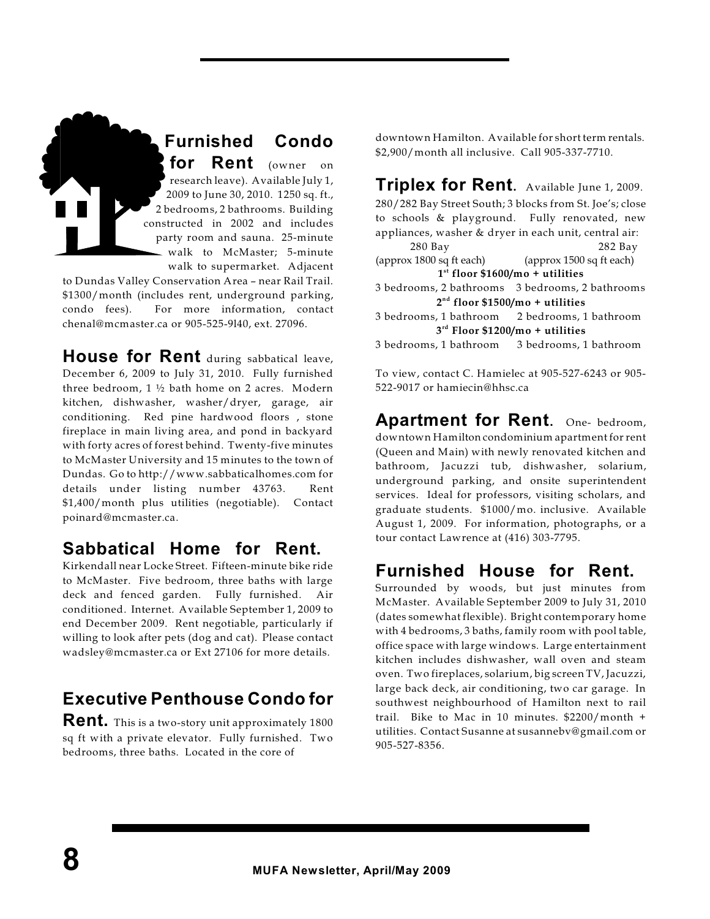**Furnished Condo for Rent** (owner on research leave). Available July 1, 2009 to June 30, 2010. 1250 sq. ft., 2 bedrooms, 2 bathrooms. Building constructed in 2002 and includes party room and sauna. 25-minute walk to McMaster; 5-minute walk to supermarket. Adjacent

to Dundas Valley Conservation Area – near Rail Trail. \$1300/month (includes rent, underground parking, condo fees). For more information, contact chenal@mcmaster.ca or 905-525-9l40, ext. 27096.

**House for Rent** during sabbatical leave, December 6, 2009 to July 31, 2010. Fully furnished three bedroom, 1 ½ bath home on 2 acres. Modern kitchen, dishwasher, washer/dryer, garage, air conditioning. Red pine hardwood floors , stone fireplace in main living area, and pond in backyard with forty acres of forest behind. Twenty-five minutes to McMaster University and 15 minutes to the town of Dundas. Go to http://www.sabbaticalhomes.com for details under listing number 43763. Rent \$1,400/month plus utilities (negotiable). Contact poinard@mcmaster.ca.

### **Sabbatical Home for Rent.**

Kirkendall near Locke Street. Fifteen-minute bike ride to McMaster. Five bedroom, three baths with large deck and fenced garden. Fully furnished. Air conditioned. Internet. Available September 1, 2009 to end December 2009. Rent negotiable, particularly if willing to look after pets (dog and cat). Please contact wadsley@mcmaster.ca or Ext 27106 for more details.

## **Executive Penthouse Condo for**

**Rent.** This is a two-story unit approximately 1800 sq ft with a private elevator. Fully furnished. Two bedrooms, three baths. Located in the core of

downtown Hamilton. Available for short term rentals. \$2,900/month all inclusive. Call 905-337-7710.

**Triplex for Rent**. Available June 1, 2009. 280/282 Bay Street South; 3 blocks from St. Joe's; close to schools & playground. Fully renovated, new appliances, washer & dryer in each unit, central air: 280 Bay 282 Bay (approx 1800 sq ft each) (approx 1500 sq ft each) **1 floor \$1600/mo + utilities st** 3 bedrooms, 2 bathrooms 3 bedrooms, 2 bathrooms **2 floor \$1500/mo + utilities nd** 3 bedrooms, 1 bathroom 2 bedrooms, 1 bathroom **3 Floor \$1200/mo + utilities rd** 3 bedrooms, 1 bathroom 3 bedrooms, 1 bathroom

To view, contact C. Hamielec at 905-527-6243 or 905- 522-9017 or hamiecin@hhsc.ca

**Apartment for Rent**. One- bedroom, downtown Hamilton condominium apartment for rent (Queen and Main) with newly renovated kitchen and bathroom, Jacuzzi tub, dishwasher, solarium, underground parking, and onsite superintendent services. Ideal for professors, visiting scholars, and graduate students. \$1000/mo. inclusive. Available August 1, 2009. For information, photographs, or a tour contact Lawrence at (416) 303-7795.

### **Furnished House for Rent.**

Surrounded by woods, but just minutes from McMaster. Available September 2009 to July 31, 2010 (dates somewhat flexible). Bright contemporary home with 4 bedrooms, 3 baths, family room with pool table, office space with large windows. Large entertainment kitchen includes dishwasher, wall oven and steam oven. Two fireplaces, solarium, big screen TV, Jacuzzi, large back deck, air conditioning, two car garage. In southwest neighbourhood of Hamilton next to rail trail. Bike to Mac in 10 minutes. \$2200/month + utilities. Contact Susanne at susannebv@gmail.com or 905-527-8356.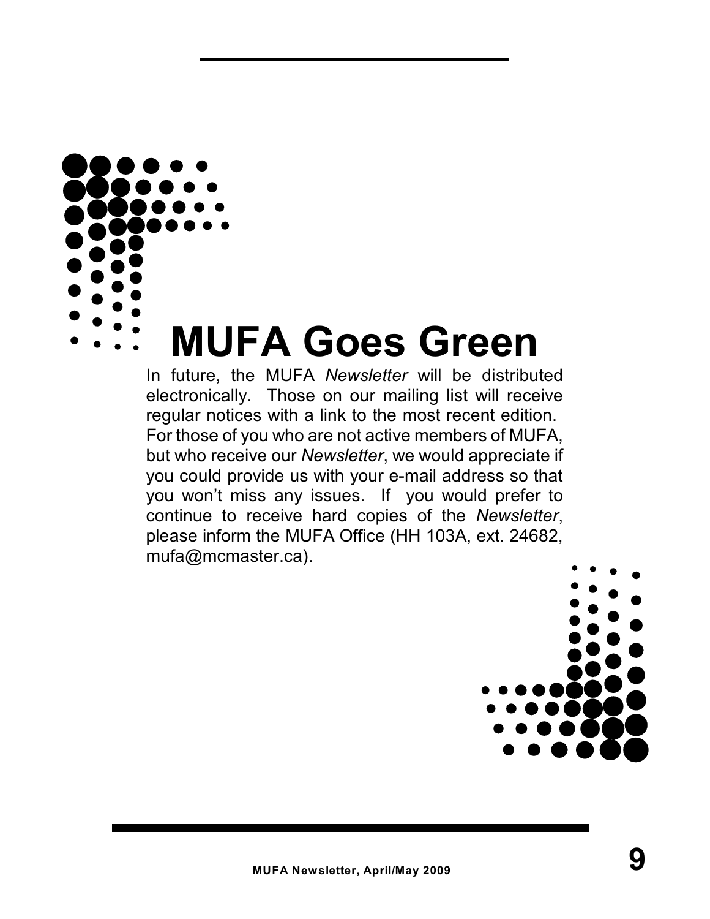

# **MUFA Goes Green**

In future, the MUFA *Newsletter* will be distributed electronically. Those on our mailing list will receive regular notices with a link to the most recent edition. For those of you who are not active members of MUFA, but who receive our *Newsletter*, we would appreciate if you could provide us with your e-mail address so that you won't miss any issues. If you would prefer to continue to receive hard copies of the *Newsletter*, please inform the MUFA Office (HH 103A, ext. 24682, mufa@mcmaster.ca).